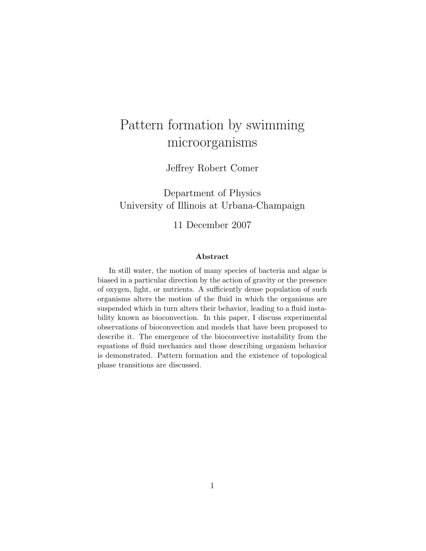# Pattern formation by swimming microorganisms

Jeffrey Robert Comer

Department of Physics University of Illinois at Urbana-Champaign

11 December 2007

#### Abstract

In still water, the motion of many species of bacteria and algae is biased in a particular direction by the action of gravity or the presence of oxygen, light, or nutrients. A sufficiently dense population of such organisms alters the motion of the fluid in which the organisms are suspended which in turn alters their behavior, leading to a fluid instability known as bioconvection. In this paper, I discuss experimental observations of bioconvection and models that have been proposed to describe it. The emergence of the bioconvective instability from the equations of fluid mechanics and those describing organism behavior is demonstrated. Pattern formation and the existence of topological phase transitions are discussed.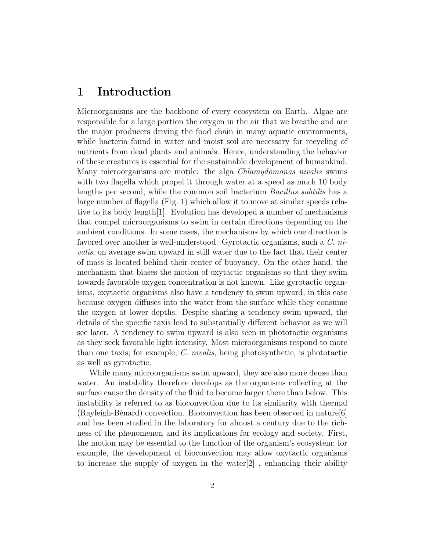# 1 Introduction

Microorganisms are the backbone of every ecosystem on Earth. Algae are responsible for a large portion the oxygen in the air that we breathe and are the major producers driving the food chain in many aquatic environments, while bacteria found in water and moist soil are necessary for recycling of nutrients from dead plants and animals. Hence, understanding the behavior of these creatures is essential for the sustainable development of humankind. Many microorganisms are motile: the alga Chlamydomonas nivalis swims with two flagella which propel it through water at a speed as much 10 body lengths per second, while the common soil bacterium Bacillus subtilis has a large number of flagella (Fig. [1\)](#page-2-0) which allow it to move at similar speeds relative to its body length[\[1\]](#page-10-0). Evolution has developed a number of mechanisms that compel microorganisms to swim in certain directions depending on the ambient conditions. In some cases, the mechanisms by which one direction is favored over another is well-understood. Gyrotactic organisms, such a C. nivalis, on average swim upward in still water due to the fact that their center of mass is located behind their center of buoyancy. On the other hand, the mechanism that biases the motion of oxytactic organisms so that they swim towards favorable oxygen concentration is not known. Like gyrotactic organisms, oxytactic organisms also have a tendency to swim upward, in this case because oxygen diffuses into the water from the surface while they consume the oxygen at lower depths. Despite sharing a tendency swim upward, the details of the specific taxis lead to substantially different behavior as we will see later. A tendency to swim upward is also seen in phototactic organisms as they seek favorable light intensity. Most microorganisms respond to more than one taxis; for example, C. nivalis, being photosynthetic, is phototactic as well as gyrotactic.

While many microorganisms swim upward, they are also more dense than water. An instability therefore develops as the organisms collecting at the surface cause the density of the fluid to become larger there than below. This instability is referred to as bioconvection due to its similarity with thermal  $(Rayleigh-Bénard)$  convection. Bioconvection has been observed in nature  $[6]$ and has been studied in the laboratory for almost a century due to the richness of the phenomenon and its implications for ecology and society. First, the motion may be essential to the function of the organism's ecosystem; for example, the development of bioconvection may allow oxytactic organisms to increase the supply of oxygen in the water[\[2\]](#page-10-2) , enhancing their ability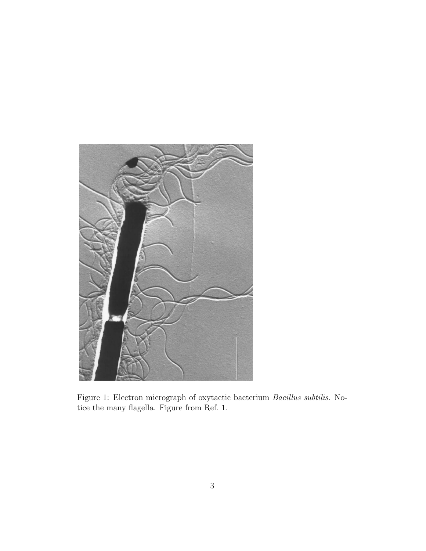<span id="page-2-0"></span>

Figure 1: Electron micrograph of oxytactic bacterium Bacillus subtilis. Notice the many flagella. Figure from Ref. 1.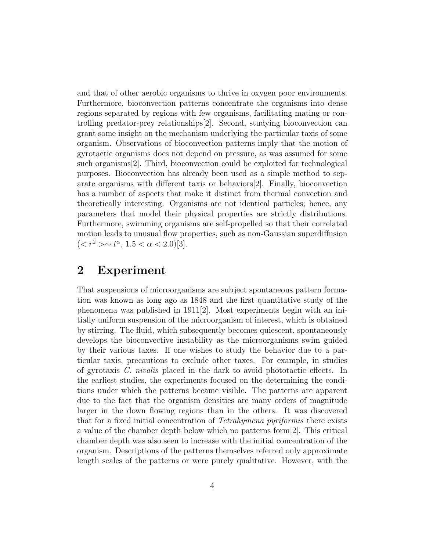and that of other aerobic organisms to thrive in oxygen poor environments. Furthermore, bioconvection patterns concentrate the organisms into dense regions separated by regions with few organisms, facilitating mating or controlling predator-prey relationships[\[2\]](#page-10-2). Second, studying bioconvection can grant some insight on the mechanism underlying the particular taxis of some organism. Observations of bioconvection patterns imply that the motion of gyrotactic organisms does not depend on pressure, as was assumed for some such organisms[\[2\]](#page-10-2). Third, bioconvection could be exploited for technological purposes. Bioconvection has already been used as a simple method to separate organisms with different taxis or behaviors[\[2\]](#page-10-2). Finally, bioconvection has a number of aspects that make it distinct from thermal convection and theoretically interesting. Organisms are not identical particles; hence, any parameters that model their physical properties are strictly distributions. Furthermore, swimming organisms are self-propelled so that their correlated motion leads to unusual flow properties, such as non-Gaussian superdiffusion  $(*r*<sup>2</sup> > \sim t^{\alpha}, 1.5 < \alpha < 2.0)$ [\[3\]](#page-10-3).

# 2 Experiment

That suspensions of microorganisms are subject spontaneous pattern formation was known as long ago as 1848 and the first quantitative study of the phenomena was published in 1911[\[2\]](#page-10-2). Most experiments begin with an initially uniform suspension of the microorganism of interest, which is obtained by stirring. The fluid, which subsequently becomes quiescent, spontaneously develops the bioconvective instability as the microorganisms swim guided by their various taxes. If one wishes to study the behavior due to a particular taxis, precautions to exclude other taxes. For example, in studies of gyrotaxis C. nivalis placed in the dark to avoid phototactic effects. In the earliest studies, the experiments focused on the determining the conditions under which the patterns became visible. The patterns are apparent due to the fact that the organism densities are many orders of magnitude larger in the down flowing regions than in the others. It was discovered that for a fixed initial concentration of Tetrahymena pyriformis there exists a value of the chamber depth below which no patterns form[\[2\]](#page-10-2). This critical chamber depth was also seen to increase with the initial concentration of the organism. Descriptions of the patterns themselves referred only approximate length scales of the patterns or were purely qualitative. However, with the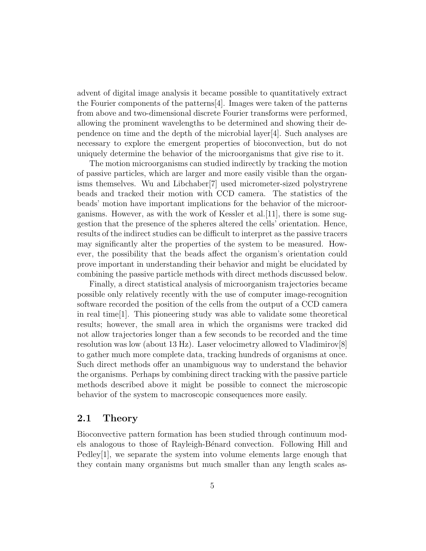advent of digital image analysis it became possible to quantitatively extract the Fourier components of the patterns[\[4\]](#page-10-4). Images were taken of the patterns from above and two-dimensional discrete Fourier transforms were performed, allowing the prominent wavelengths to be determined and showing their dependence on time and the depth of the microbial layer[\[4\]](#page-10-4). Such analyses are necessary to explore the emergent properties of bioconvection, but do not uniquely determine the behavior of the microorganisms that give rise to it.

The motion microorganisms can studied indirectly by tracking the motion of passive particles, which are larger and more easily visible than the organisms themselves. Wu and Libchaber[\[7\]](#page-10-5) used micrometer-sized polystryrene beads and tracked their motion with CCD camera. The statistics of the beads' motion have important implications for the behavior of the microorganisms. However, as with the work of Kessler et al.[\[11\]](#page-10-6), there is some suggestion that the presence of the spheres altered the cells' orientation. Hence, results of the indirect studies can be difficult to interpret as the passive tracers may significantly alter the properties of the system to be measured. However, the possibility that the beads affect the organism's orientation could prove important in understanding their behavior and might be elucidated by combining the passive particle methods with direct methods discussed below.

Finally, a direct statistical analysis of microorganism trajectories became possible only relatively recently with the use of computer image-recognition software recorded the position of the cells from the output of a CCD camera in real time[\[1\]](#page-10-0). This pioneering study was able to validate some theoretical results; however, the small area in which the organisms were tracked did not allow trajectories longer than a few seconds to be recorded and the time resolution was low (about 13 Hz). Laser velocimetry allowed to Vladimirov[\[8\]](#page-10-7) to gather much more complete data, tracking hundreds of organisms at once. Such direct methods offer an unambiguous way to understand the behavior the organisms. Perhaps by combining direct tracking with the passive particle methods described above it might be possible to connect the microscopic behavior of the system to macroscopic consequences more easily.

### 2.1 Theory

Bioconvective pattern formation has been studied through continuum models analogous to those of Rayleigh-B´enard convection. Following Hill and Pedley[\[1\]](#page-10-0), we separate the system into volume elements large enough that they contain many organisms but much smaller than any length scales as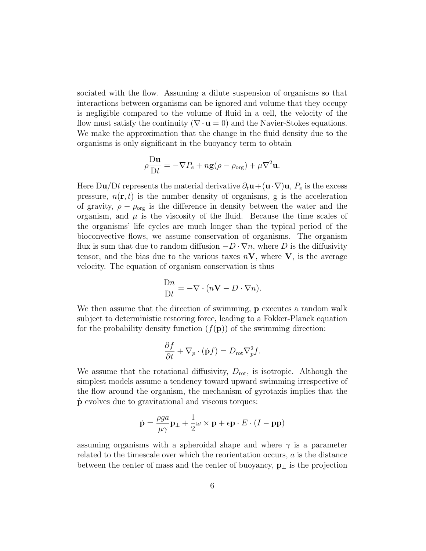sociated with the flow. Assuming a dilute suspension of organisms so that interactions between organisms can be ignored and volume that they occupy is negligible compared to the volume of fluid in a cell, the velocity of the flow must satisfy the continuity ( $\nabla \cdot \mathbf{u} = 0$ ) and the Navier-Stokes equations. We make the approximation that the change in the fluid density due to the organisms is only significant in the buoyancy term to obtain

$$
\rho \frac{\mathrm{D} \mathbf{u}}{\mathrm{D} t} = -\nabla P_e + n\mathbf{g}(\rho - \rho_{\mathrm{org}}) + \mu \nabla^2 \mathbf{u}.
$$

Here Du/Dt represents the material derivative  $\partial_t \mathbf{u} + (\mathbf{u} \cdot \nabla) \mathbf{u}$ ,  $P_e$  is the excess pressure,  $n(\mathbf{r}, t)$  is the number density of organisms, g is the acceleration of gravity,  $\rho - \rho_{\text{org}}$  is the difference in density between the water and the organism, and  $\mu$  is the viscosity of the fluid. Because the time scales of the organisms' life cycles are much longer than the typical period of the bioconvective flows, we assume conservation of organisms. The organism flux is sum that due to random diffusion  $-D \cdot \nabla n$ , where D is the diffusivity tensor, and the bias due to the various taxes  $nV$ , where V, is the average velocity. The equation of organism conservation is thus

$$
\frac{\mathrm{D}n}{\mathrm{D}t} = -\nabla \cdot (n\mathbf{V} - D \cdot \nabla n).
$$

We then assume that the direction of swimming, **p** executes a random walk subject to deterministic restoring force, leading to a Fokker-Planck equation for the probability density function  $(f(\mathbf{p}))$  of the swimming direction:

$$
\frac{\partial f}{\partial t} + \nabla_p \cdot (\dot{\mathbf{p}}f) = D_{\rm rot} \nabla_p^2 f.
$$

We assume that the rotational diffusivity,  $D_{\text{rot}}$ , is isotropic. Although the simplest models assume a tendency toward upward swimming irrespective of the flow around the organism, the mechanism of gyrotaxis implies that the p˙ evolves due to gravitational and viscous torques:

$$
\dot{\mathbf{p}} = \frac{\rho g a}{\mu \gamma} \mathbf{p}_{\perp} + \frac{1}{2} \omega \times \mathbf{p} + \epsilon \mathbf{p} \cdot E \cdot (I - \mathbf{p} \mathbf{p})
$$

assuming organisms with a spheroidal shape and where  $\gamma$  is a parameter related to the timescale over which the reorientation occurs, a is the distance between the center of mass and the center of buoyancy,  $\mathbf{p}_{\perp}$  is the projection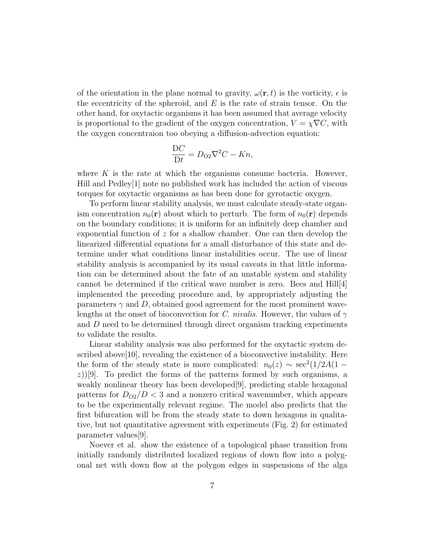of the orientation in the plane normal to gravity,  $\omega(\mathbf{r},t)$  is the vorticity,  $\epsilon$  is the eccentricity of the spheroid, and  $E$  is the rate of strain tensor. On the other hand, for oxytactic organisms it has been assumed that average velocity is proportional to the gradient of the oxygen concentration,  $V = \chi \nabla C$ , with the oxygen concentraion too obeying a diffusion-advection equation:

$$
\frac{\mathcal{D}C}{\mathcal{D}t} = D_{\mathcal{O}2}\nabla^2 C - Kn,
$$

where  $K$  is the rate at which the organisms consume bacteria. However, Hill and Pedley[\[1\]](#page-10-0) note no published work has included the action of viscous torques for oxytactic organisms as has been done for gyrotactic oxygen.

To perform linear stability analysis, we must calculate steady-state organism concentration  $n_0(\mathbf{r})$  about which to perturb. The form of  $n_0(\mathbf{r})$  depends on the boundary conditions; it is uniform for an infinitely deep chamber and exponential function of  $z$  for a shallow chamber. One can then develop the linearized differential equations for a small disturbance of this state and determine under what conditions linear instabilities occur. The use of linear stability analysis is accompanied by its usual caveats in that little information can be determined about the fate of an unstable system and stability cannot be determined if the critical wave number is zero. Bees and  $Hill[4]$  $Hill[4]$ implemented the preceding procedure and, by appropriately adjusting the parameters  $\gamma$  and D, obtained good agreement for the most prominent wavelengths at the onset of bioconvection for C. nivalis. However, the values of  $\gamma$ and D need to be determined through direct organism tracking experiments to validate the results.

Linear stability analysis was also performed for the oxytactic system de-scribed above[\[10\]](#page-10-8), revealing the existence of a bioconvective instability. Here the form of the steady state is more complicated:  $n_0(z) \sim \sec^2(1/2A(1 (z)$ )[\[9\]](#page-10-9). To predict the forms of the patterns formed by such organisms, a weakly nonlinear theory has been developed[\[9\]](#page-10-9), predicting stable hexagonal patterns for  $D_{O2}/D < 3$  and a nonzero critical wavenumber, which appears to be the experimentally relevant regime. The model also predicts that the first bifurcation will be from the steady state to down hexagons in qualitative, but not quantitative agreement with experiments (Fig. [2\)](#page-7-0) for estimated parameter values[\[9\]](#page-10-9).

Noever et al. show the existence of a topological phase transition from initially randomly distributed localized regions of down flow into a polygonal net with down flow at the polygon edges in suspensions of the alga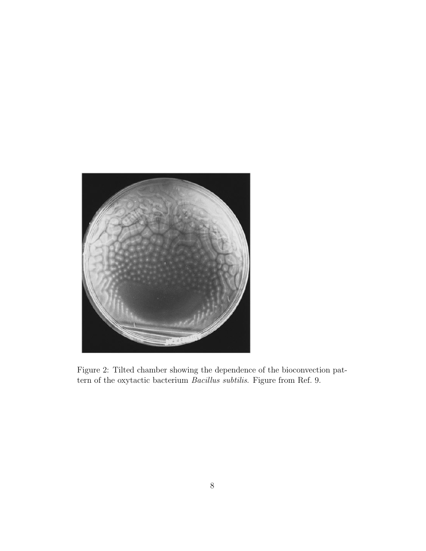<span id="page-7-0"></span>

Figure 2: Tilted chamber showing the dependence of the bioconvection pattern of the oxytactic bacterium Bacillus subtilis. Figure from Ref. 9.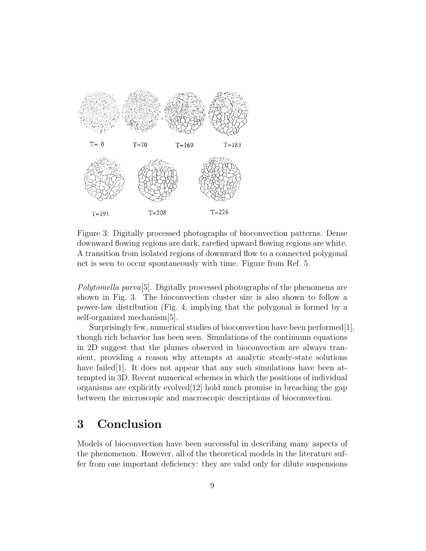

<span id="page-8-0"></span>Figure 3: Digitally processed photographs of bioconvection patterns. Dense downward flowing regions are dark, rarefied upward flowing regions are white. A transition from isolated regions of downward flow to a connected polygonal net is seen to occur spontaneously with time. Figure from Ref. 5.

Polytomella parva[\[5\]](#page-10-10). Digitally processed photographs of the phenomena are shown in Fig. [3.](#page-8-0) The bioconvection cluster size is also shown to follow a power-law distribution (Fig. [4,](#page-9-0) implying that the polygonal is formed by a self-organized mechanism[\[5\]](#page-10-10).

Surprisingly few, numerical studies of bioconvection have been performed[\[1\]](#page-10-0), though rich behavior has been seen. Simulations of the continuum equations in 2D suggest that the plumes observed in bioconvection are always transient, providing a reason why attempts at analytic steady-state solutions have failed [\[1\]](#page-10-0). It does not appear that any such simulations have been attempted in 3D. Recent numerical schemes in which the positions of individual organisms are explicitly evolved  $[12]$  hold much promise in breaching the gap between the microscopic and macroscopic descriptions of bioconvection.

# 3 Conclusion

Models of bioconvection have been successful in describing many aspects of the phenomenon. However, all of the theoretical models in the literature suffer from one important deficiency: they are valid only for dilute suspensions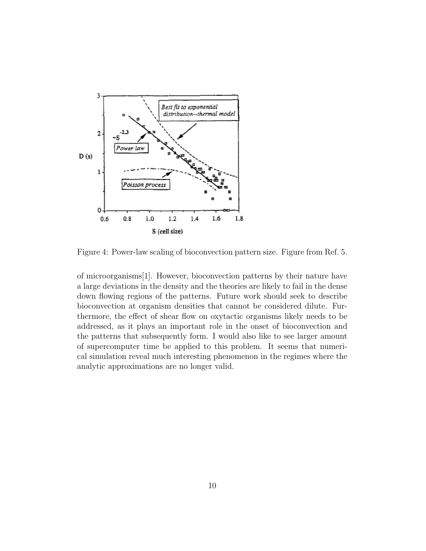

<span id="page-9-0"></span>Figure 4: Power-law scaling of bioconvection pattern size. Figure from Ref. 5.

of microorganisms[\[1\]](#page-10-0). However, bioconvection patterns by their nature have a large deviations in the density and the theories are likely to fail in the dense down flowing regions of the patterns. Future work should seek to describe bioconvection at organism densities that cannot be considered dilute. Furthermore, the effect of shear flow on oxytactic organisms likely needs to be addressed, as it plays an important role in the onset of bioconvection and the patterns that subsequently form. I would also like to see larger amount of supercomputer time be applied to this problem. It seems that numerical simulation reveal much interesting phenomenon in the regimes where the analytic approximations are no longer valid.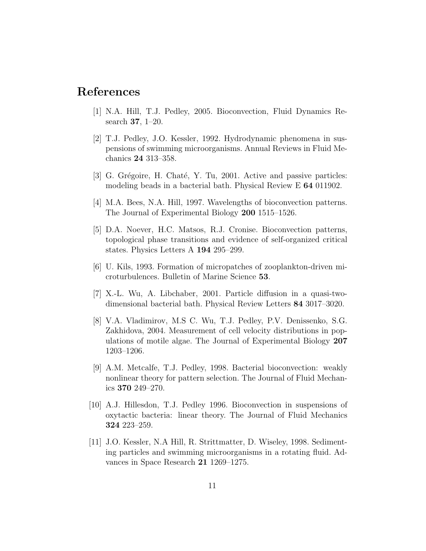# <span id="page-10-0"></span>References

- [1] N.A. Hill, T.J. Pedley, 2005. Bioconvection, Fluid Dynamics Research 37, 1–20.
- <span id="page-10-2"></span>[2] T.J. Pedley, J.O. Kessler, 1992. Hydrodynamic phenomena in suspensions of swimming microorganisms. Annual Reviews in Fluid Mechanics 24 313–358.
- <span id="page-10-3"></span>[3] G. Grégoire, H. Chaté, Y. Tu, 2001. Active and passive particles: modeling beads in a bacterial bath. Physical Review E 64 011902.
- <span id="page-10-4"></span>[4] M.A. Bees, N.A. Hill, 1997. Wavelengths of bioconvection patterns. The Journal of Experimental Biology 200 1515–1526.
- <span id="page-10-10"></span>[5] D.A. Noever, H.C. Matsos, R.J. Cronise. Bioconvection patterns, topological phase transitions and evidence of self-organized critical states. Physics Letters A 194 295–299.
- <span id="page-10-1"></span>[6] U. Kils, 1993. Formation of micropatches of zooplankton-driven microturbulences. Bulletin of Marine Science 53.
- <span id="page-10-5"></span>[7] X.-L. Wu, A. Libchaber, 2001. Particle diffusion in a quasi-twodimensional bacterial bath. Physical Review Letters 84 3017–3020.
- <span id="page-10-7"></span>[8] V.A. Vladimirov, M.S C. Wu, T.J. Pedley, P.V. Denissenko, S.G. Zakhidova, 2004. Measurement of cell velocity distributions in populations of motile algae. The Journal of Experimental Biology 207 1203–1206.
- <span id="page-10-9"></span>[9] A.M. Metcalfe, T.J. Pedley, 1998. Bacterial bioconvection: weakly nonlinear theory for pattern selection. The Journal of Fluid Mechanics 370 249–270.
- <span id="page-10-8"></span>[10] A.J. Hillesdon, T.J. Pedley 1996. Bioconvection in suspensions of oxytactic bacteria: linear theory. The Journal of Fluid Mechanics 324 223–259.
- <span id="page-10-6"></span>[11] J.O. Kessler, N.A Hill, R. Strittmatter, D. Wiseley, 1998. Sedimenting particles and swimming microorganisms in a rotating fluid. Advances in Space Research 21 1269–1275.